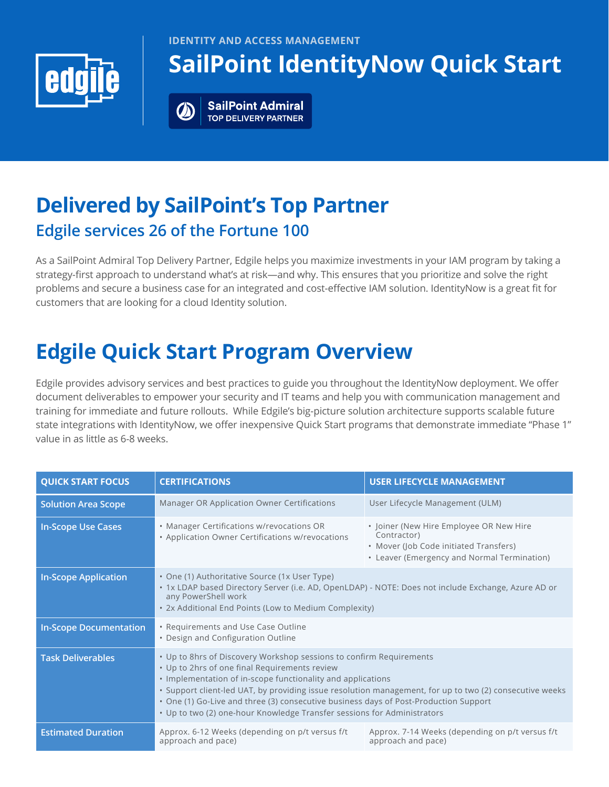



# **SailPoint IdentityNow Quick Start**

**SailPoint Admiral TOP DELIVERY PARTNER** 

### **Delivered by SailPoint's Top Partner Edgile services 26 of the Fortune 100**

As a SailPoint Admiral Top Delivery Partner, Edgile helps you maximize investments in your IAM program by taking a strategy-first approach to understand what's at risk—and why. This ensures that you prioritize and solve the right problems and secure a business case for an integrated and cost-effective IAM solution. IdentityNow is a great fit for customers that are looking for a cloud Identity solution.

# **Edgile Quick Start Program Overview**

Edgile provides advisory services and best practices to guide you throughout the IdentityNow deployment. We offer document deliverables to empower your security and IT teams and help you with communication management and training for immediate and future rollouts. While Edgile's big-picture solution architecture supports scalable future state integrations with IdentityNow, we offer inexpensive Quick Start programs that demonstrate immediate "Phase 1" value in as little as 6-8 weeks.

| <b>QUICK START FOCUS</b>      | <b>CERTIFICATIONS</b>                                                                                                                                                                                                                                                                                                                                                                                                                                             | <b>USER LIFECYCLE MANAGEMENT</b>                                                                                                                |
|-------------------------------|-------------------------------------------------------------------------------------------------------------------------------------------------------------------------------------------------------------------------------------------------------------------------------------------------------------------------------------------------------------------------------------------------------------------------------------------------------------------|-------------------------------------------------------------------------------------------------------------------------------------------------|
| <b>Solution Area Scope</b>    | Manager OR Application Owner Certifications                                                                                                                                                                                                                                                                                                                                                                                                                       | User Lifecycle Management (ULM)                                                                                                                 |
| <b>In-Scope Use Cases</b>     | • Manager Certifications w/revocations OR<br>• Application Owner Certifications w/revocations                                                                                                                                                                                                                                                                                                                                                                     | • Joiner (New Hire Employee OR New Hire<br>Contractor)<br>• Mover (Job Code initiated Transfers)<br>• Leaver (Emergency and Normal Termination) |
| <b>In-Scope Application</b>   | • One (1) Authoritative Source (1x User Type)<br>. 1x LDAP based Directory Server (i.e. AD, OpenLDAP) - NOTE: Does not include Exchange, Azure AD or<br>any PowerShell work<br>• 2x Additional End Points (Low to Medium Complexity)                                                                                                                                                                                                                              |                                                                                                                                                 |
| <b>In-Scope Documentation</b> | • Requirements and Use Case Outline<br>• Design and Configuration Outline                                                                                                                                                                                                                                                                                                                                                                                         |                                                                                                                                                 |
| <b>Task Deliverables</b>      | . Up to 8hrs of Discovery Workshop sessions to confirm Requirements<br>• Up to 2hrs of one final Requirements review<br>• Implementation of in-scope functionality and applications<br>· Support client-led UAT, by providing issue resolution management, for up to two (2) consecutive weeks<br>• One (1) Go-Live and three (3) consecutive business days of Post-Production Support<br>• Up to two (2) one-hour Knowledge Transfer sessions for Administrators |                                                                                                                                                 |
| <b>Estimated Duration</b>     | Approx. 6-12 Weeks (depending on p/t versus f/t<br>approach and pace)                                                                                                                                                                                                                                                                                                                                                                                             | Approx. 7-14 Weeks (depending on p/t versus f/t<br>approach and pace)                                                                           |